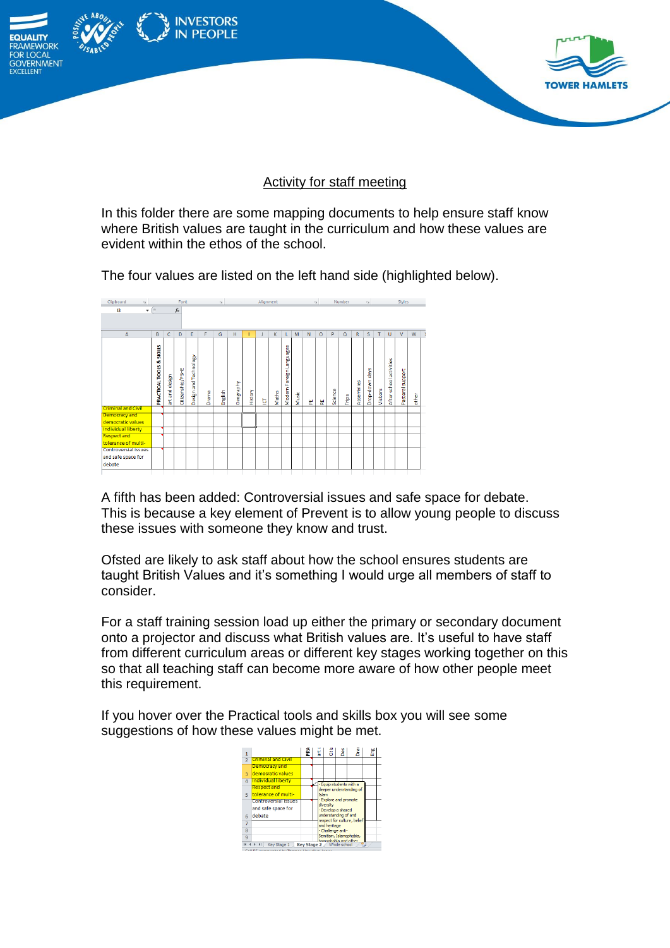

## Activity for staff meeting

In this folder there are some mapping documents to help ensure staff know where British values are taught in the curriculum and how these values are evident within the ethos of the school.

The four values are listed on the left hand side (highlighted below).



A fifth has been added: Controversial issues and safe space for debate. This is because a key element of Prevent is to allow young people to discuss these issues with someone they know and trust.

Ofsted are likely to ask staff about how the school ensures students are taught British Values and it's something I would urge all members of staff to consider.

For a staff training session load up either the primary or secondary document onto a projector and discuss what British values are. It's useful to have staff from different curriculum areas or different key stages working together on this so that all teaching staff can become more aware of how other people meet this requirement.

If you hover over the Practical tools and skills box you will see some suggestions of how these values might be met.